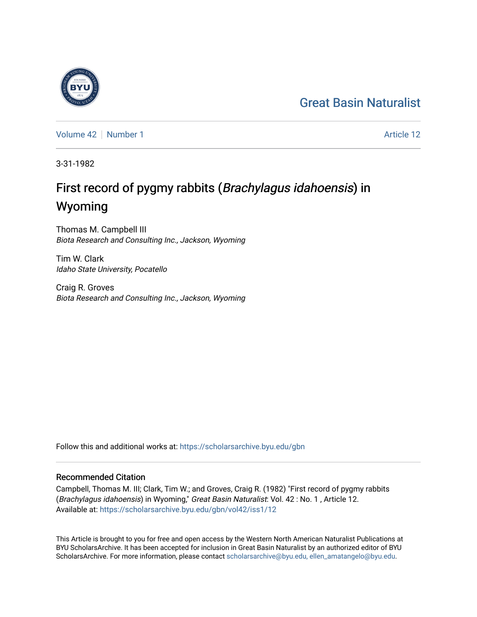## [Great Basin Naturalist](https://scholarsarchive.byu.edu/gbn)

[Volume 42](https://scholarsarchive.byu.edu/gbn/vol42) [Number 1](https://scholarsarchive.byu.edu/gbn/vol42/iss1) Article 12

3-31-1982

# First record of pygmy rabbits (Brachylagus idahoensis) in Wyoming

Thomas M. Campbell III Biota Research and Consulting Inc., Jackson, Wyoming

Tim W. Clark Idaho State University, Pocatello

Craig R. Groves Biota Research and Consulting Inc., Jackson, Wyoming

Follow this and additional works at: [https://scholarsarchive.byu.edu/gbn](https://scholarsarchive.byu.edu/gbn?utm_source=scholarsarchive.byu.edu%2Fgbn%2Fvol42%2Fiss1%2F12&utm_medium=PDF&utm_campaign=PDFCoverPages) 

### Recommended Citation

Campbell, Thomas M. III; Clark, Tim W.; and Groves, Craig R. (1982) "First record of pygmy rabbits (Brachylagus idahoensis) in Wyoming," Great Basin Naturalist: Vol. 42 : No. 1 , Article 12. Available at: [https://scholarsarchive.byu.edu/gbn/vol42/iss1/12](https://scholarsarchive.byu.edu/gbn/vol42/iss1/12?utm_source=scholarsarchive.byu.edu%2Fgbn%2Fvol42%2Fiss1%2F12&utm_medium=PDF&utm_campaign=PDFCoverPages) 

This Article is brought to you for free and open access by the Western North American Naturalist Publications at BYU ScholarsArchive. It has been accepted for inclusion in Great Basin Naturalist by an authorized editor of BYU ScholarsArchive. For more information, please contact [scholarsarchive@byu.edu, ellen\\_amatangelo@byu.edu.](mailto:scholarsarchive@byu.edu,%20ellen_amatangelo@byu.edu)